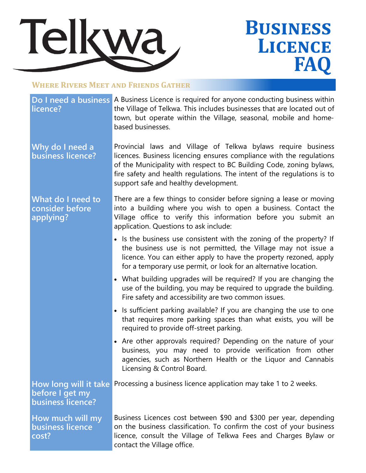

## **Business Licence FA**

## **Where Rivers Meet and Friends Gather**

## **licence?**

**Do I need a business A Business Licence is required for anyone conducting business within** the Village of Telkwa. This includes businesses that are located out of town, but operate within the Village, seasonal, mobile and homebased businesses.

**Why do I need a business licence?** Provincial laws and Village of Telkwa bylaws require business licences. Business licencing ensures compliance with the regulations of the Municipality with respect to BC Building Code, zoning bylaws, fire safety and health regulations. The intent of the regulations is to support safe and healthy development.

**What do I need to consider before applying?**

There are a few things to consider before signing a lease or moving into a building where you wish to open a business. Contact the Village office to verify this information before you submit an application. Questions to ask include:

- Is the business use consistent with the zoning of the property? If the business use is not permitted, the Village may not issue a licence. You can either apply to have the property rezoned, apply for a temporary use permit, or look for an alternative location.
- What building upgrades will be required? If you are changing the use of the building, you may be required to upgrade the building. Fire safety and accessibility are two common issues.
- Is sufficient parking available? If you are changing the use to one that requires more parking spaces than what exists, you will be required to provide off-street parking.
- Are other approvals required? Depending on the nature of your business, you may need to provide verification from other agencies, such as Northern Health or the Liquor and Cannabis Licensing & Control Board.

**How long will it take**  Processing a business licence application may take 1 to 2 weeks. **before I get my business licence?**

**How much will my business licence cost?**

Business Licences cost between \$90 and \$300 per year, depending on the business classification. To confirm the cost of your business licence, consult the Village of Telkwa Fees and Charges Bylaw or contact the Village office.